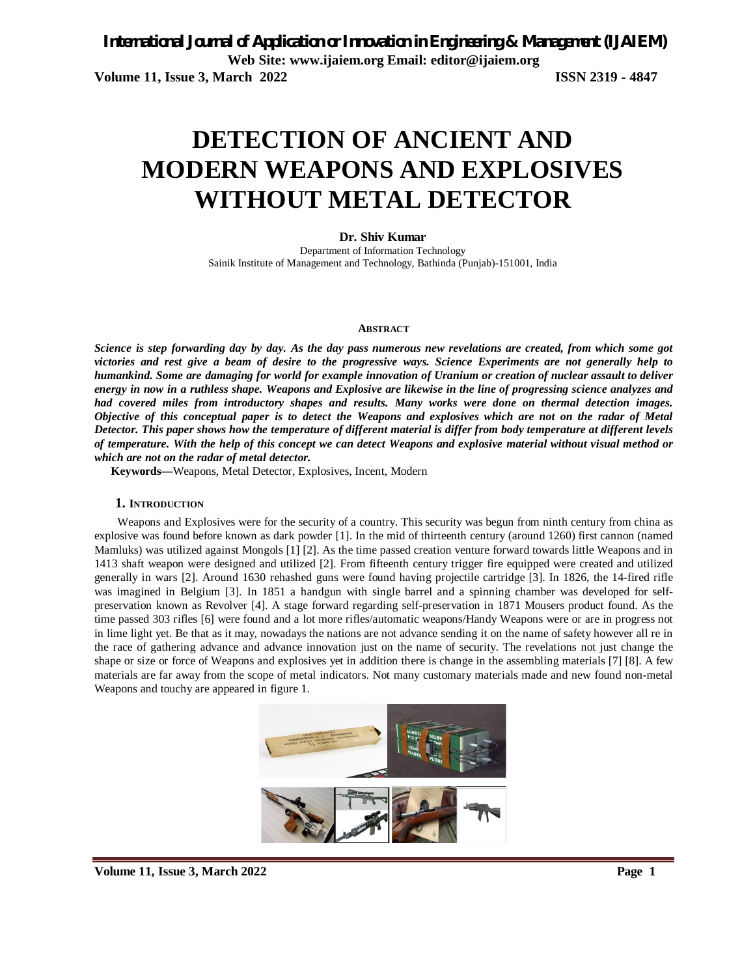# **DETECTION OF ANCIENT AND MODERN WEAPONS AND EXPLOSIVES WITHOUT METAL DETECTOR**

**Dr. Shiv Kumar**

Department of Information Technology Sainik Institute of Management and Technology, Bathinda (Punjab)-151001, India

#### **ABSTRACT**

*Science is step forwarding day by day. As the day pass numerous new revelations are created, from which some got victories and rest give a beam of desire to the progressive ways. Science Experiments are not generally help to humankind. Some are damaging for world for example innovation of Uranium or creation of nuclear assault to deliver energy in now in a ruthless shape. Weapons and Explosive are likewise in the line of progressing science analyzes and had covered miles from introductory shapes and results. Many works were done on thermal detection images. Objective of this conceptual paper is to detect the Weapons and explosives which are not on the radar of Metal Detector. This paper shows how the temperature of different material is differ from body temperature at different levels of temperature. With the help of this concept we can detect Weapons and explosive material without visual method or which are not on the radar of metal detector.* 

**Keywords—**Weapons, Metal Detector, Explosives, Incent, Modern

#### **1. INTRODUCTION**

Weapons and Explosives were for the security of a country. This security was begun from ninth century from china as explosive was found before known as dark powder [1]. In the mid of thirteenth century (around 1260) first cannon (named Mamluks) was utilized against Mongols [1] [2]. As the time passed creation venture forward towards little Weapons and in 1413 shaft weapon were designed and utilized [2]. From fifteenth century trigger fire equipped were created and utilized generally in wars [2]. Around 1630 rehashed guns were found having projectile cartridge [3]. In 1826, the 14-fired rifle was imagined in Belgium [3]. In 1851 a handgun with single barrel and a spinning chamber was developed for selfpreservation known as Revolver [4]. A stage forward regarding self-preservation in 1871 Mousers product found. As the time passed 303 rifles [6] were found and a lot more rifles/automatic weapons/Handy Weapons were or are in progress not in lime light yet. Be that as it may, nowadays the nations are not advance sending it on the name of safety however all re in the race of gathering advance and advance innovation just on the name of security. The revelations not just change the shape or size or force of Weapons and explosives yet in addition there is change in the assembling materials [7] [8]. A few materials are far away from the scope of metal indicators. Not many customary materials made and new found non-metal Weapons and touchy are appeared in figure 1.

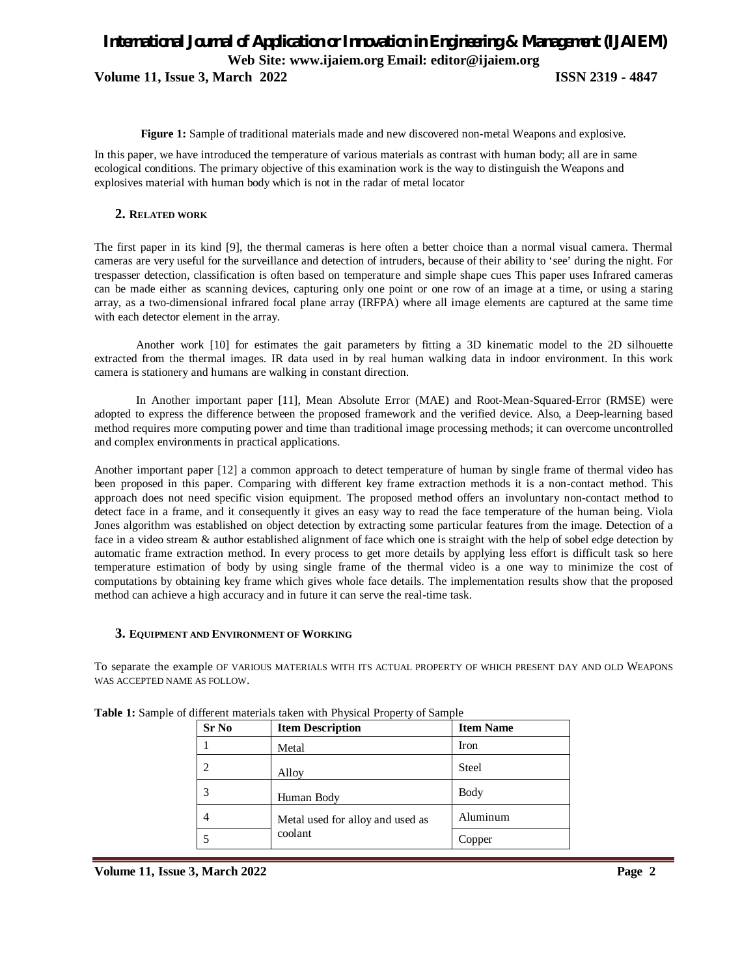### *International Journal of Application or Innovation in Engineering & Management (IJAIEM)* **Web Site: www.ijaiem.org Email: editor@ijaiem.org Volume 11, Issue 3, March 2022 ISSN 2319 - 4847**

**Figure 1:** Sample of traditional materials made and new discovered non-metal Weapons and explosive.

In this paper, we have introduced the temperature of various materials as contrast with human body; all are in same ecological conditions. The primary objective of this examination work is the way to distinguish the Weapons and explosives material with human body which is not in the radar of metal locator

### **2. RELATED WORK**

The first paper in its kind [9], the thermal cameras is here often a better choice than a normal visual camera. Thermal cameras are very useful for the surveillance and detection of intruders, because of their ability to 'see' during the night. For trespasser detection, classification is often based on temperature and simple shape cues This paper uses Infrared cameras can be made either as scanning devices, capturing only one point or one row of an image at a time, or using a staring array, as a two-dimensional infrared focal plane array (IRFPA) where all image elements are captured at the same time with each detector element in the array.

Another work [10] for estimates the gait parameters by fitting a 3D kinematic model to the 2D silhouette extracted from the thermal images. IR data used in by real human walking data in indoor environment. In this work camera is stationery and humans are walking in constant direction.

In Another important paper [11], Mean Absolute Error (MAE) and Root-Mean-Squared-Error (RMSE) were adopted to express the difference between the proposed framework and the verified device. Also, a Deep-learning based method requires more computing power and time than traditional image processing methods; it can overcome uncontrolled and complex environments in practical applications.

Another important paper [12] a common approach to detect temperature of human by single frame of thermal video has been proposed in this paper. Comparing with different key frame extraction methods it is a non-contact method. This approach does not need specific vision equipment. The proposed method offers an involuntary non-contact method to detect face in a frame, and it consequently it gives an easy way to read the face temperature of the human being. Viola Jones algorithm was established on object detection by extracting some particular features from the image. Detection of a face in a video stream & author established alignment of face which one is straight with the help of sobel edge detection by automatic frame extraction method. In every process to get more details by applying less effort is difficult task so here temperature estimation of body by using single frame of the thermal video is a one way to minimize the cost of computations by obtaining key frame which gives whole face details. The implementation results show that the proposed method can achieve a high accuracy and in future it can serve the real-time task.

### **3. EQUIPMENT AND ENVIRONMENT OF WORKING**

To separate the example OF VARIOUS MATERIALS WITH ITS ACTUAL PROPERTY OF WHICH PRESENT DAY AND OLD WEAPONS WAS ACCEPTED NAME AS FOLLOW.

| Sr No | <b>Item Description</b>          | <b>Item Name</b> |
|-------|----------------------------------|------------------|
|       | Metal                            | Iron             |
| 2     | Alloy                            | <b>Steel</b>     |
| 3     | Human Body                       | Body             |
| 4     | Metal used for alloy and used as | Aluminum         |
|       | coolant                          | Copper           |

**Table 1:** Sample of different materials taken with Physical Property of Sample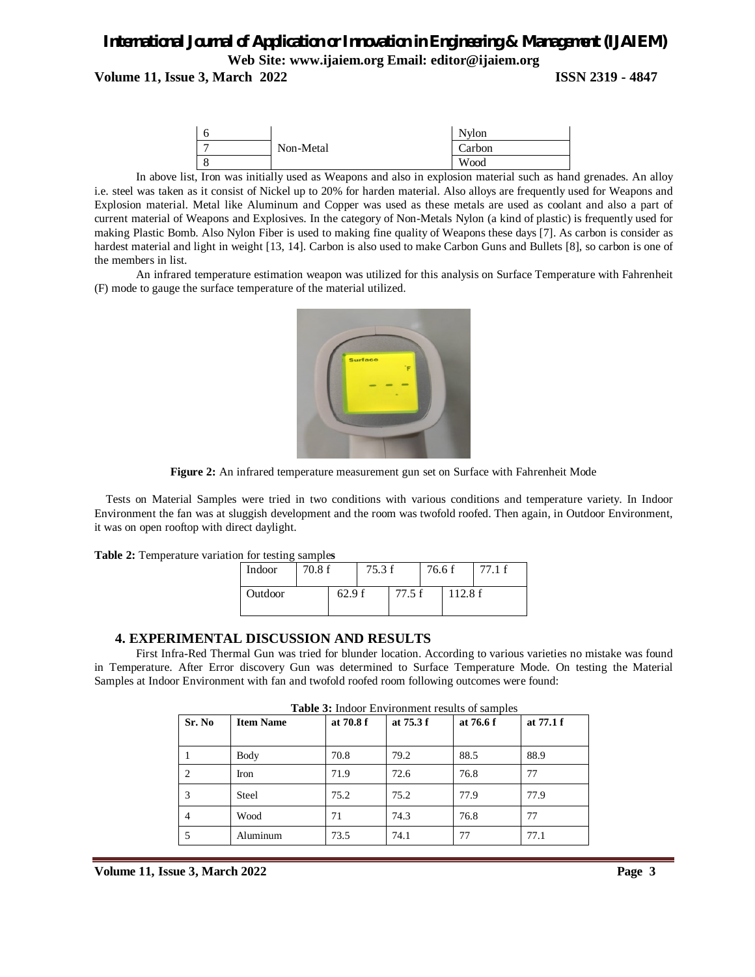**Volume 11, Issue 3, March 2022 ISSN 2319 - 4847**



In above list, Iron was initially used as Weapons and also in explosion material such as hand grenades. An alloy i.e. steel was taken as it consist of Nickel up to 20% for harden material. Also alloys are frequently used for Weapons and Explosion material. Metal like Aluminum and Copper was used as these metals are used as coolant and also a part of current material of Weapons and Explosives. In the category of Non-Metals Nylon (a kind of plastic) is frequently used for making Plastic Bomb. Also Nylon Fiber is used to making fine quality of Weapons these days [7]. As carbon is consider as hardest material and light in weight [13, 14]. Carbon is also used to make Carbon Guns and Bullets [8], so carbon is one of the members in list.

An infrared temperature estimation weapon was utilized for this analysis on Surface Temperature with Fahrenheit (F) mode to gauge the surface temperature of the material utilized.



**Figure 2:** An infrared temperature measurement gun set on Surface with Fahrenheit Mode

Tests on Material Samples were tried in two conditions with various conditions and temperature variety. In Indoor Environment the fan was at sluggish development and the room was twofold roofed. Then again, in Outdoor Environment, it was on open rooftop with direct daylight.

|  |  | Table 2: Temperature variation for testing samples |  |  |  |  |
|--|--|----------------------------------------------------|--|--|--|--|
|--|--|----------------------------------------------------|--|--|--|--|

| Indoor  | 70.8f |       | 75.3 f |        | 76.6 f |        | 77.1 f |
|---------|-------|-------|--------|--------|--------|--------|--------|
| Outdoor |       | 62.9f |        | 77.5 f |        | 112.8f |        |

### **4. EXPERIMENTAL DISCUSSION AND RESULTS**

First Infra-Red Thermal Gun was tried for blunder location. According to various varieties no mistake was found in Temperature. After Error discovery Gun was determined to Surface Temperature Mode. On testing the Material Samples at Indoor Environment with fan and twofold roofed room following outcomes were found:

|                | <b>Table 5.</b> Indoor Environment results of samples |           |           |           |            |  |  |  |
|----------------|-------------------------------------------------------|-----------|-----------|-----------|------------|--|--|--|
| Sr. No         | <b>Item Name</b>                                      | at 70.8 f | at 75.3 f | at 76.6 f | at $77.1f$ |  |  |  |
|                | Body                                                  | 70.8      | 79.2      | 88.5      | 88.9       |  |  |  |
| 2              | Iron                                                  | 71.9      | 72.6      | 76.8      | 77         |  |  |  |
| 3              | Steel                                                 | 75.2      | 75.2      | 77.9      | 77.9       |  |  |  |
| $\overline{4}$ | Wood                                                  | 71        | 74.3      | 76.8      | 77         |  |  |  |
| 5              | Aluminum                                              | 73.5      | 74.1      | 77        | 77.1       |  |  |  |
|                |                                                       |           |           |           |            |  |  |  |

**Table 3:** Indoor Environment results of samples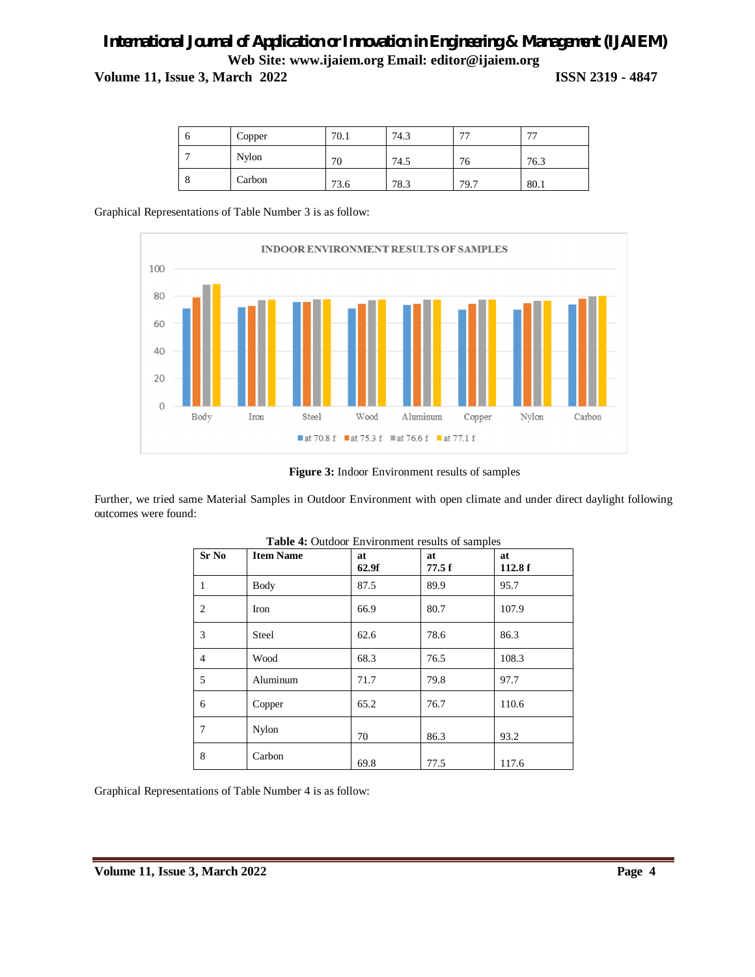**Volume 11, Issue 3, March 2022 ISSN 2319 - 4847**

| υ       | Copper       | 70.1 | 74.3 | 77   | 77   |
|---------|--------------|------|------|------|------|
|         | <b>Nylon</b> | 70   | 74.5 | 76   | 76.3 |
| $\circ$ | Carbon       | 73.6 | 78.3 | 79.7 | 80.1 |

Graphical Representations of Table Number 3 is as follow:



**Figure 3:** Indoor Environment results of samples

Further, we tried same Material Samples in Outdoor Environment with open climate and under direct daylight following outcomes were found:

| Sr No          | <b>Item Name</b> | at<br>62.9f | at<br>77.5f | at<br>112.8f |
|----------------|------------------|-------------|-------------|--------------|
| $\mathbf{1}$   | Body             | 87.5        | 89.9        | 95.7         |
| $\overline{c}$ | Iron             | 66.9        | 80.7        | 107.9        |
| 3              | Steel            | 62.6        | 78.6        | 86.3         |
| $\overline{4}$ | Wood             | 68.3        | 76.5        | 108.3        |
| 5              | Aluminum         | 71.7        | 79.8        | 97.7         |
| 6              | Copper           | 65.2        | 76.7        | 110.6        |
| 7              | Nylon            | 70          | 86.3        | 93.2         |
| 8              | Carbon           | 69.8        | 77.5        | 117.6        |

| Table 4: Outdoor Environment results of samples |
|-------------------------------------------------|
|-------------------------------------------------|

Graphical Representations of Table Number 4 is as follow: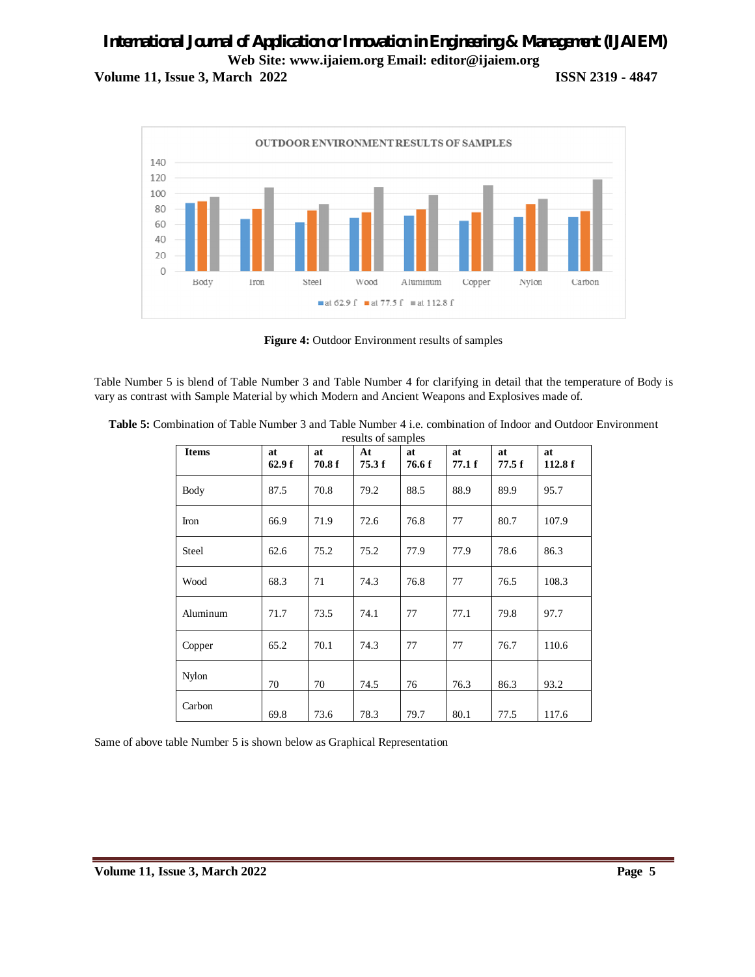**Volume 11, Issue 3, March 2022 ISSN 2319 - 4847**



**Figure 4:** Outdoor Environment results of samples

Table Number 5 is blend of Table Number 3 and Table Number 4 for clarifying in detail that the temperature of Body is vary as contrast with Sample Material by which Modern and Ancient Weapons and Explosives made of.

| <b>Items</b> | at    | at     | research of semipres<br>At | at     | at     | at    | at     |
|--------------|-------|--------|----------------------------|--------|--------|-------|--------|
|              | 62.9f | 70.8 f | 75.3f                      | 76.6 f | 77.1 f | 77.5f | 112.8f |
| Body         | 87.5  | 70.8   | 79.2                       | 88.5   | 88.9   | 89.9  | 95.7   |
| Iron         | 66.9  | 71.9   | 72.6                       | 76.8   | 77     | 80.7  | 107.9  |
| Steel        | 62.6  | 75.2   | 75.2                       | 77.9   | 77.9   | 78.6  | 86.3   |
| Wood         | 68.3  | 71     | 74.3                       | 76.8   | 77     | 76.5  | 108.3  |
| Aluminum     | 71.7  | 73.5   | 74.1                       | 77     | 77.1   | 79.8  | 97.7   |
| Copper       | 65.2  | 70.1   | 74.3                       | 77     | 77     | 76.7  | 110.6  |
| <b>Nylon</b> | 70    | 70     | 74.5                       | 76     | 76.3   | 86.3  | 93.2   |
| Carbon       | 69.8  | 73.6   | 78.3                       | 79.7   | 80.1   | 77.5  | 117.6  |

**Table 5:** Combination of Table Number 3 and Table Number 4 i.e. combination of Indoor and Outdoor Environment results of samples

Same of above table Number 5 is shown below as Graphical Representation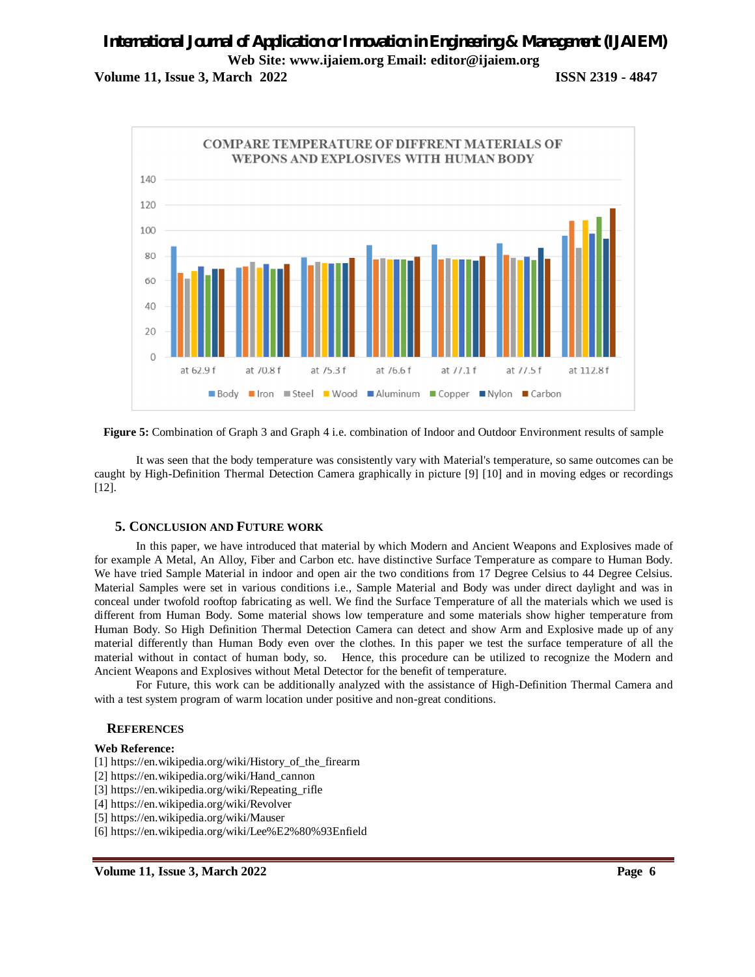**Volume 11, Issue 3, March 2022 ISSN 2319 - 4847**



**Figure 5:** Combination of Graph 3 and Graph 4 i.e. combination of Indoor and Outdoor Environment results of sample

It was seen that the body temperature was consistently vary with Material's temperature, so same outcomes can be caught by High-Definition Thermal Detection Camera graphically in picture [9] [10] and in moving edges or recordings [12].

### **5. CONCLUSION AND FUTURE WORK**

In this paper, we have introduced that material by which Modern and Ancient Weapons and Explosives made of for example A Metal, An Alloy, Fiber and Carbon etc. have distinctive Surface Temperature as compare to Human Body. We have tried Sample Material in indoor and open air the two conditions from 17 Degree Celsius to 44 Degree Celsius. Material Samples were set in various conditions i.e., Sample Material and Body was under direct daylight and was in conceal under twofold rooftop fabricating as well. We find the Surface Temperature of all the materials which we used is different from Human Body. Some material shows low temperature and some materials show higher temperature from Human Body. So High Definition Thermal Detection Camera can detect and show Arm and Explosive made up of any material differently than Human Body even over the clothes. In this paper we test the surface temperature of all the material without in contact of human body, so. Hence, this procedure can be utilized to recognize the Modern and Ancient Weapons and Explosives without Metal Detector for the benefit of temperature.

For Future, this work can be additionally analyzed with the assistance of High-Definition Thermal Camera and with a test system program of warm location under positive and non-great conditions.

### **REFERENCES**

#### **Web Reference:**

- [1] https://en.wikipedia.org/wiki/History\_of\_the\_firearm
- [2] https://en.wikipedia.org/wiki/Hand\_cannon
- [3] https://en.wikipedia.org/wiki/Repeating\_rifle
- [4] https://en.wikipedia.org/wiki/Revolver
- [5] https://en.wikipedia.org/wiki/Mauser
- [6] https://en.wikipedia.org/wiki/Lee%E2%80%93Enfield